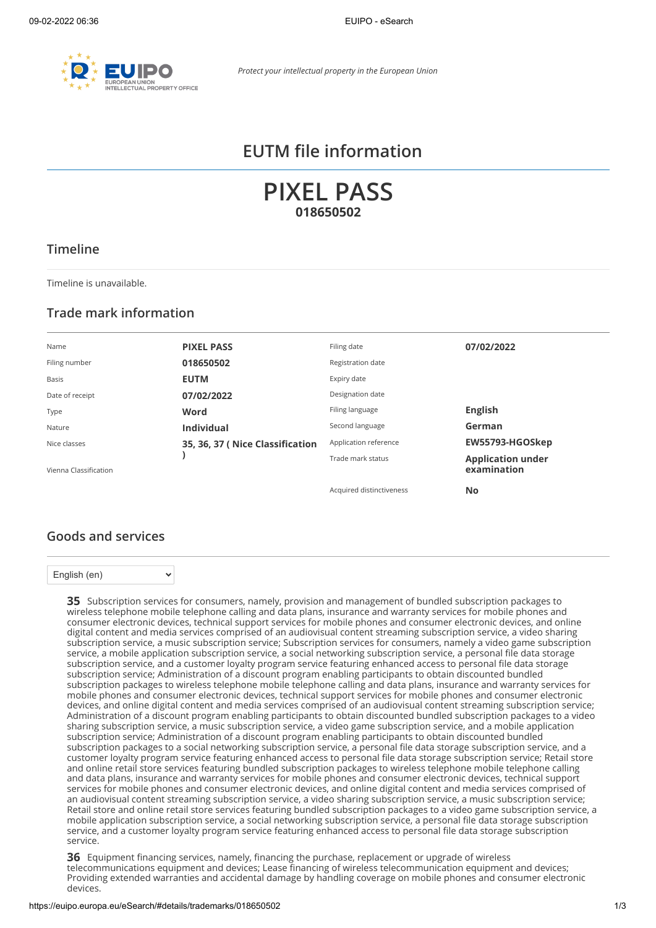

# **EUTM file information**

**PIXEL PASS 018650502**

#### **Timeline**

Timeline is unavailable.

#### **Trade mark information**

| Name                  | <b>PIXEL PASS</b>               | Filing date              | 07/02/2022                              |
|-----------------------|---------------------------------|--------------------------|-----------------------------------------|
| Filing number         | 018650502                       | Registration date        |                                         |
| Basis                 | <b>EUTM</b>                     | Expiry date              |                                         |
| Date of receipt       | 07/02/2022                      | Designation date         |                                         |
| Type                  | Word                            | Filing language          | <b>English</b>                          |
| Nature                | <b>Individual</b>               | Second language          | German                                  |
| Nice classes          | 35, 36, 37 (Nice Classification | Application reference    | EW55793-HGOSkep                         |
| Vienna Classification |                                 | Trade mark status        | <b>Application under</b><br>examination |
|                       |                                 | Acquired distinctiveness | No                                      |

#### **Goods and services**

 $\ddot{\phantom{0}}$ 

English (en)

**35** Subscription services for consumers, namely, provision and management of bundled subscription packages to wireless telephone mobile telephone calling and data plans, insurance and warranty services for mobile phones and consumer electronic devices, technical support services for mobile phones and consumer electronic devices, and online digital content and media services comprised of an audiovisual content streaming subscription service, a video sharing subscription service, a music subscription service; Subscription services for consumers, namely a video game subscription service, a mobile application subscription service, a social networking subscription service, a personal file data storage subscription service, and a customer loyalty program service featuring enhanced access to personal file data storage subscription service; Administration of a discount program enabling participants to obtain discounted bundled subscription packages to wireless telephone mobile telephone calling and data plans, insurance and warranty services for mobile phones and consumer electronic devices, technical support services for mobile phones and consumer electronic devices, and online digital content and media services comprised of an audiovisual content streaming subscription service; Administration of a discount program enabling participants to obtain discounted bundled subscription packages to a video sharing subscription service, a music subscription service, a video game subscription service, and a mobile application subscription service; Administration of a discount program enabling participants to obtain discounted bundled subscription packages to a social networking subscription service, a personal file data storage subscription service, and a customer loyalty program service featuring enhanced access to personal file data storage subscription service; Retail store and online retail store services featuring bundled subscription packages to wireless telephone mobile telephone calling and data plans, insurance and warranty services for mobile phones and consumer electronic devices, technical support services for mobile phones and consumer electronic devices, and online digital content and media services comprised of an audiovisual content streaming subscription service, a video sharing subscription service, a music subscription service; Retail store and online retail store services featuring bundled subscription packages to a video game subscription service, a mobile application subscription service, a social networking subscription service, a personal file data storage subscription service, and a customer loyalty program service featuring enhanced access to personal file data storage subscription service.

**36** Equipment financing services, namely, financing the purchase, replacement or upgrade of wireless telecommunications equipment and devices; Lease financing of wireless telecommunication equipment and devices; Providing extended warranties and accidental damage by handling coverage on mobile phones and consumer electronic devices.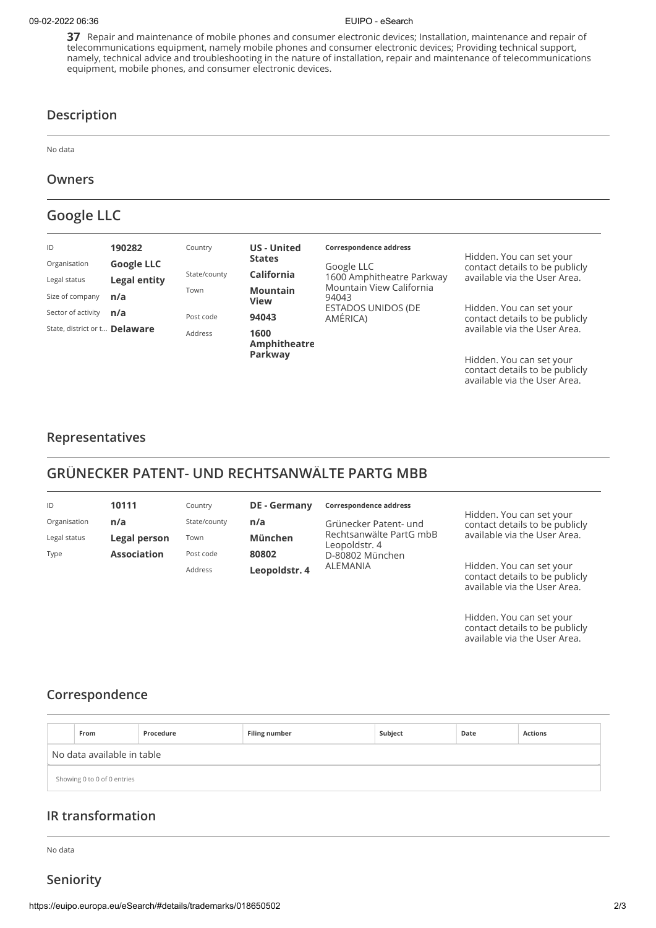#### 09-02-2022 06:36 EUIPO - eSearch

**37** Repair and maintenance of mobile phones and consumer electronic devices; Installation, maintenance and repair of telecommunications equipment, namely mobile phones and consumer electronic devices; Providing technical support, namely, technical advice and troubleshooting in the nature of installation, repair and maintenance of telecommunications equipment, mobile phones, and consumer electronic devices.

#### **Description**

No data

#### **Owners**

# **Google LLC**

| ID                            | 190282              | Country      | <b>US</b> - United<br><b>States</b> | Correspondence address                | Hidden. You can set your                                   |
|-------------------------------|---------------------|--------------|-------------------------------------|---------------------------------------|------------------------------------------------------------|
| Organisation                  | <b>Google LLC</b>   |              |                                     | Google LLC                            | contact details to be publicly                             |
| Legal status                  | <b>Legal entity</b> | State/county | California                          | 1600 Amphitheatre Parkway             | available via the User Area.                               |
| Size of company               | n/a                 | Town         | <b>Mountain</b><br><b>View</b>      | Mountain View California<br>94043     |                                                            |
| Sector of activity            | n/a                 | Post code    | 94043                               | <b>ESTADOS UNIDOS (DE</b><br>AMÉRICA) | Hidden. You can set your<br>contact details to be publicly |
| State, district or t Delaware |                     | Address      | 1600<br>Amphitheatre                |                                       | available via the User Area.                               |
|                               |                     |              | Parkway                             |                                       | Hidden. You can set your                                   |

contact details to be publicly available via the [User Area.](https://euipo.europa.eu/ohimportal/web/guest/login)

#### **Representatives**

# **GRÜNECKER PATENT- UND RECHTSANWÄLTE PARTG MBB**

| ID           | 10111              | Country      | <b>DE</b> - Germany | Correspondence address                   |                                                                                            |  |
|--------------|--------------------|--------------|---------------------|------------------------------------------|--------------------------------------------------------------------------------------------|--|
| Organisation | n/a                | State/county | n/a                 | Grünecker Patent- und                    | Hidden. You can set your<br>contact details to be publicly                                 |  |
| Legal status | Legal person       | Town         | München             | Rechtsanwälte PartG mbB<br>Leopoldstr. 4 | available via the User Area.                                                               |  |
| Type         | <b>Association</b> | Post code    | 80802               | D-80802 München                          |                                                                                            |  |
|              |                    | Address      | Leopoldstr. 4       | ALEMANIA                                 | Hidden. You can set your<br>contact details to be publicly<br>available via the User Area. |  |

Hidden. You can set your contact details to be publicly available via the [User Area.](https://euipo.europa.eu/ohimportal/web/guest/login)

### **Correspondence**

|                            | From                        | Procedure | <b>Filing number</b> | Subject | Date | <b>Actions</b> |
|----------------------------|-----------------------------|-----------|----------------------|---------|------|----------------|
| No data available in table |                             |           |                      |         |      |                |
|                            | Showing 0 to 0 of 0 entries |           |                      |         |      |                |

### **IR transformation**

No data

**Seniority**